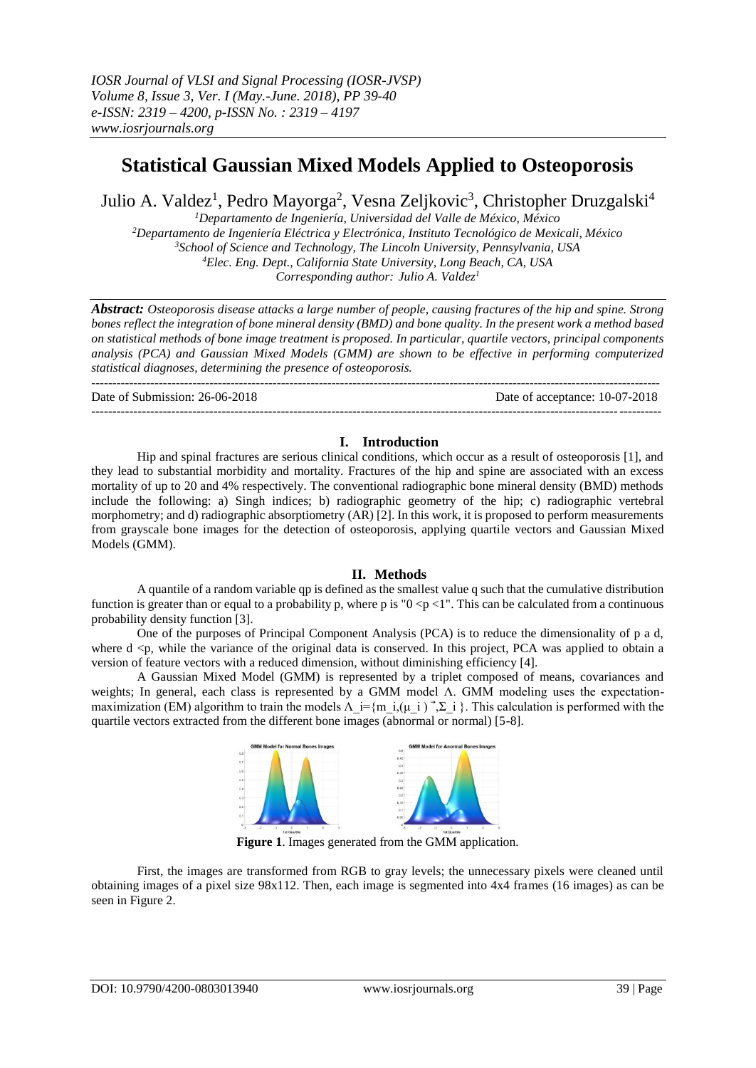# **Statistical Gaussian Mixed Models Applied to Osteoporosis**

Julio A. Valdez<sup>1</sup>, Pedro Mayorga<sup>2</sup>, Vesna Zeljkovic<sup>3</sup>, Christopher Druzgalski<sup>4</sup>

*Departamento de Ingeniería, Universidad del Valle de México, México Departamento de Ingeniería Eléctrica y Electrónica, Instituto Tecnológico de Mexicali, México School of Science and Technology, The Lincoln University, Pennsylvania, USA Elec. Eng. Dept., California State University, Long Beach, CA, USA Corresponding author: Julio A. Valdez<sup>1</sup>*

*Abstract: Osteoporosis disease attacks a large number of people, causing fractures of the hip and spine. Strong bones reflect the integration of bone mineral density (BMD) and bone quality. In the present work a method based on statistical methods of bone image treatment is proposed. In particular, quartile vectors, principal components analysis (PCA) and Gaussian Mixed Models (GMM) are shown to be effective in performing computerized statistical diagnoses, determining the presence of osteoporosis.*

--------------------------------------------------------------------------------------------------------------------------------------- Date of Submission: 26-06-2018 Date of acceptance: 10-07-2018 ---------------------------------------------------------------------------------------------------------------------------------------

## **I. Introduction**

Hip and spinal fractures are serious clinical conditions, which occur as a result of osteoporosis [1], and they lead to substantial morbidity and mortality. Fractures of the hip and spine are associated with an excess mortality of up to 20 and 4% respectively. The conventional radiographic bone mineral density (BMD) methods include the following: a) Singh indices; b) radiographic geometry of the hip; c) radiographic vertebral morphometry; and d) radiographic absorptiometry (AR) [2]. In this work, it is proposed to perform measurements from grayscale bone images for the detection of osteoporosis, applying quartile vectors and Gaussian Mixed Models (GMM).

#### **II. Methods**

A quantile of a random variable qp is defined as the smallest value q such that the cumulative distribution function is greater than or equal to a probability p, where p is " $0 \le p \le 1$ ". This can be calculated from a continuous probability density function [3].

One of the purposes of Principal Component Analysis (PCA) is to reduce the dimensionality of p a d, where  $d \leq p$ , while the variance of the original data is conserved. In this project, PCA was applied to obtain a version of feature vectors with a reduced dimension, without diminishing efficiency [4].

A Gaussian Mixed Model (GMM) is represented by a triplet composed of means, covariances and weights; In general, each class is represented by a GMM model Λ. GMM modeling uses the expectationmaximization (EM) algorithm to train the models  $\Lambda_i = \{m_i, (\mu_i) \rightarrow \Sigma_i\}$ . This calculation is performed with the quartile vectors extracted from the different bone images (abnormal or normal) [5-8].



**Figure 1**. Images generated from the GMM application.

First, the images are transformed from RGB to gray levels; the unnecessary pixels were cleaned until obtaining images of a pixel size 98x112. Then, each image is segmented into 4x4 frames (16 images) as can be seen in Figure 2.